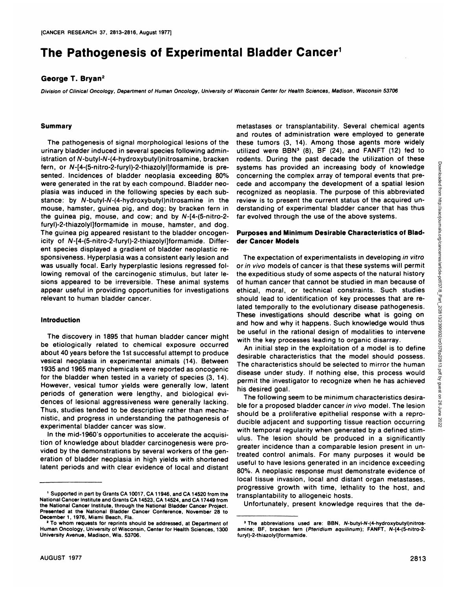# **The Pathogenesis of Experimental Bladder Cancer1**

#### **GeorgeT. Bryan2**

Division of Clinical Oncology, Department of Human Oncology, University of Wisconsin Center for Health Sciences, Madison, Wisconsin 53706

#### **Summary**

The pathogenesis of signal morphological lesions of the urinary bladder induced in several species following admin istration of N-butyl-N-(4-hydroxybutyl)nitrosamine, bracken fern, or N-[4-(5-nitro-2-furyl)-2-thiazolyl]formamide is presented. Incidences of bladder neoplasia exceeding 80% were generated in the rat by each compound. Bladder neo plasia was induced in the following species by each sub stance: by N-butyl-N-(4-hydroxybutyl)nitrosamine in the mouse, hamster, guinea pig, and dog; by bracken fern in the guinea pig, mouse, and cow; and by N-[4-(5-nitro-2 furyl)-2-thiazolyl]formamide in mouse, hamster, and dog. The guinea pig appeared resistant to the bladder oncogen icity of N-[4-(5-nitro-2-furyl)-2-thiazolyl]formamide. Different species displayed a gradient of bladder neoplastic responsiveness. Hyperplasia was a consistent early lesion and was usually focal. Early hyperplastic lesions regressed following removal of the carcinogenic stimulus, but later le sions appeared to be irreversible. These animal systems appear useful in providing opportunities for investigations relevant to human bladder cancer.

#### **Introduction**

The discovery in 1895 that human bladder cancer might be etiologically related to chemical exposure occurred about 40 years before the 1st successful attempt to produce vesical neoplasia in experimental animals (14). Between 1935 and 1965 many chemicals were reported as oncogenic for the bladder when tested in a variety of species (3, 14). However, vesical tumor yields were generally low, latent periods of generation were lengthy, and biological evidences of lesional aggressiveness were generally lacking. Thus, studies tended to be descriptive rather than mecha nistic, and progress in understanding the pathogenesis of experimental bladder cancer was slow.

In the mid-1960's opportunities to accelerate the acquisi tion of knowledge about bladder carcinogenesis were pro vided by the demonstrations by several workers of the gen eration of bladder neoplasia in high yields with shortened latent periods and with clear evidence of local and distant

metastases on transplantability. Several chemical agents and routes of administration were employed to generate these tumors (3, 14). Among those agents more widely utilized were BBN<sup>3</sup> (8), BF (24), and FANFT (12) fed to systems has provided an increasing body of knowledge concerning the complex array of temporal events that pre cede and accompany the development of a spatial lesion recognized as neoplasia. The purpose of this abbreviated review is to present the current status of the acquired un derstanding of experimental bladder cancer that has thus far evolved through the use of the above systems.

## Purposes and Minimum Desirable Characteristics of Blad der Cancer Models

rodents. During the past decade the utilization of these<br>systems has provided an increasing body of knowledge<br>concerning the complex array of temporal events that pre-<br>cede and accompany the development of a spatial lesio The expectation of experimentalists in developing in vitro or in vivo models of cancer is that these systems will permit the expeditious study of some aspects of the natural history of human cancer that cannot be studied in man because of ethical, moral, on technical constraints. Such studies should lead to identification of key processes that are related temporally to the evolutionary disease pathogenesis. These investigations should describe what is going on and how and why it happens. Such knowledge would thus be useful in the rational design of modalities to intervene with the key processes leading to organic disarray.

An initial step in the exploitation of a model is to define desirable characteristics that the model should possess. The characteristics should be selected to mirror the human disease under study. If nothing else, this process would permit the investigator to recognize when he has achieved his desired goal.

The following seem to be minimum characteristics desira ble for a proposed bladder cancer in vivo model. The lesion should be a proliferative epithelial response with a repro-<br>ducible adjacent and supporting tissue reaction occurring ducible adjacent and supporting tissue reaction occurring with temporal regularity when generated by a defined stim ulus. The lesion should be produced in a significantly greater incidence than a comparable lesion present in un treated control animals. For many purposes it would be useful to have lesions generated in an incidence exceeding 80%. A neoplasic response must demonstrate evidence of local tissue invasion, local and distant organ metastases, progressive growth with time, lethality to the host, and transplantability to allogeneic hosts.

Unfortunately, present knowledge requires that the de

<sup>&</sup>lt;sup>1</sup> Supported in part by Grants CA 10017, CA 11946, and CA 14520 from the National Cancer Institute and Grants CA 14523, CA 14524, and CA 17449 from the National Cancer Institute, through the National Bladder Cancer Project. Presented at the National Bladder Cancer Conference, November 28 to December 1, 1976, Miami Beach, Fla.

**<sup>2</sup> To whom requests for reprints should be addressed, at Department of** Human Oncology, University of Wisconsin, Center for Health Sciences, 1300 University Avenue, Madison, Wis. 53706.

**<sup>3</sup> The abbreviations used are: BBN, N-butyl-N-(4-hydroxybutyl)nitros** amine; BF, bracken fern (Pteridium aquilinum); FANFT, N-[4-(5-nitro-2 furyl)-2-thiazolyl]formamide.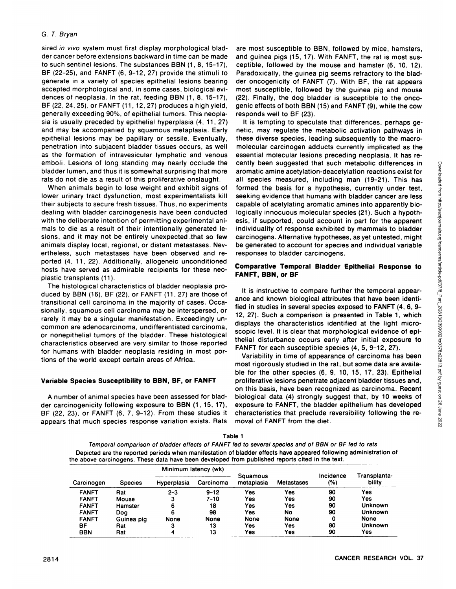sired in vivo system must first display morphological bladder cancer before extensions backward in time can be made to such sentinel lesions. The substances BBN (1, 8, 15-17), BE (22-25), and FANFT (6, 9-12, 27) provide the stimuli to generate in a variety of species epithelial lesions bearing accepted morphological and, in some cases, biological evi dences of neoplasia. In the rat, feeding BBN (1, 8, 15-17), BE (22, 24, 25), or FANFT (11 ,12, 27) produces a high yield, generally exceeding 90%, of epithelial tumors. This neopla sia is usually preceded by epithelial hyperplasia (4, 11, 27) and may be accompanied by squamous metaplasia. Early epithelial lesions may be papillary or sessile. Eventually, penetration into subjacent bladder tissues occurs, as well as the formation of intravesicular lymphatic and venous emboli. Lesions of long standing may nearly occlude the bladder lumen, and thus it is somewhat surprising that more rats do not die as a result of this proliferative onslaught.

When animals begin to lose weight and exhibit signs of lower urinary tract dysfunction, most experimentalists kill their subjects to secure fresh tissues. Thus, no experiments dealing with bladder carcinogenesis have been conducted with the deliberate intention of permitting experimental ani mals to die as a result of their intentionally generated le sions, and it may not be entirely unexpected .that so few animals display local, regional, or distant metastases. Nev ertheless, such metastases have been observed and reported (4, 11, 22). Additionally, allogeneic unconditioned hosts have served as admirable recipients for these neo plastic transplants (11).

The histological characteristics of bladder neoplasia produced by BBN (16), BE (22), or FANFT (11, 27) are those of transitional cell carcinoma in the majority of cases. Occa sionally, squamous cell carcinoma may be interspersed, on rarely it may be a singular manifestation. Exceedingly un common are adenocarcinoma, undifferentiated carcinoma, or nonepithelial tumors of the bladder. These histological characteristics observed are very similar to those reported for humans with bladder neoplasia residing in most por tions of the world except certain areas of Africa.

# Variable Species Susceptibility to BBN, BF, or FANFT

A number of animal species have been assessed for blad den carcinogenicity following exposure to BBN (1, 15,17), BE (22, 23), or FANFT (6, 7, 9-12). From these studies it appears that much species response variation exists. Rats are most susceptible to BBN, followed by mice, hamsters, and guinea pigs (15, 17). With FANFT, the rat is most sus ceptible, followed by the mouse and hamster (6, 10, 12). Paradoxically, the guinea pig seems refractory to the blad den oncogenicity of FANFT (7). With BE, the rat appears most susceptible, followed by the guinea pig and mouse (22). Finally, the dog bladder is susceptible to the onco genic effects of both BBN (15) and FANFT (9), while the cow responds well to BF (23).

It is tempting to speculate that differences, perhaps ge netic, may regulate the metabolic activation pathways in these diverse species, leading subsequently to the macro molecular carcinogen adducts currently implicated as the essential molecular lesions preceding neoplasia. It has recently been suggested that such metabolic differences in<br>all species measured, including man (19–21). This has<br>all species measured, including man (19–21). This has<br>formed the basis for a hypothesis, currently under test,<br> aromatic amine acetylation-deacetylation reactions exist for all species measured, including man (19-21). This has formed the basis for a hypothesis, currently under test, seeking evidence that humans with bladder cancer are less capable of acetylating aromatic amines into apparently biologically innocuous molecular species (21). Such a hypoth esis, if supported, could account in part for the apparent individuality of response exhibited by mammals to bladder carcinogens. Alternative hypotheses, as yet untested, might be generated to account for species and individual variable responses to bladder carcinogens.

## **Comparative Temporal Bladder Epithelial Response to** FANFT, BBN, or BF

It is instructive to compare further the temporal appear ance and known biological attributes that have been identi fied in studies in several species exposed to FANFT (4, 6, 9-12, 27). Such a comparison is presented in Table 1, which displays the characteristics identified at the light micro scopic level. It is clear that morphological evidence of epi thelial disturbance occurs early after initial exposure to FANFT for each susceptible species (4,5, 9-12, 27).

Variability in time of appearance of carcinoma has been most rigorously studied in the rat, but some data are available for the other species (6, 9, 10, 15, 17, 23). Epithelial proliferative lesions penetrate adjacent bladder tissues and, on this basis, have been recognized as carcinoma. Recent biological data (4) strongly suggest that, by 10 weeks of exposure to FANFT, the bladder epithelium has developed characteristics that preclude reversibility following the re moval of FANFT from the diet.

| avıcı                                                                                                             |
|-------------------------------------------------------------------------------------------------------------------|
| Temporal comparison of bladder effects of FANFT fed to several species and of BBN or BF fed to rats               |
| Depicted are the reported periods when manifestation of bladder effects have appeared following administration of |
| the above carcinogens. These data have been developed from published reports cited in the text.                   |
|                                                                                                                   |

Table1

| Carcinogen   | <b>Species</b> | Minimum latency (wk) |           |                        |                   |                  |                        |
|--------------|----------------|----------------------|-----------|------------------------|-------------------|------------------|------------------------|
|              |                | Hyperplasia          | Carcinoma | Squamous<br>metaplasia | <b>Metastases</b> | Incidence<br>(%) | Transplanta-<br>bility |
| <b>FANFT</b> | Rat            | $2 - 3$              | $9 - 12$  | Yes                    | Yes               | 90               | Yes                    |
| <b>FANFT</b> | Mouse          | з                    | $7 - 10$  | Yes                    | Yes               | 90               | Yes                    |
| <b>FANFT</b> | Hamster        | 6                    | 18        | Yes                    | Yes               | 90               | Unknown                |
| <b>FANFT</b> | Doa            | 6                    | 98        | Yes                    | No                | 90               | Unknown                |
| <b>FANFT</b> | Guinea pig     | None                 | None      | None                   | None              | 0                | None                   |
| ВF           | Rat            | з                    | 13        | Yes                    | Yes               | 80               | Unknown                |
| <b>BBN</b>   | Rat            | 4                    | 13        | Yes                    | Yes               | 90               | Yes                    |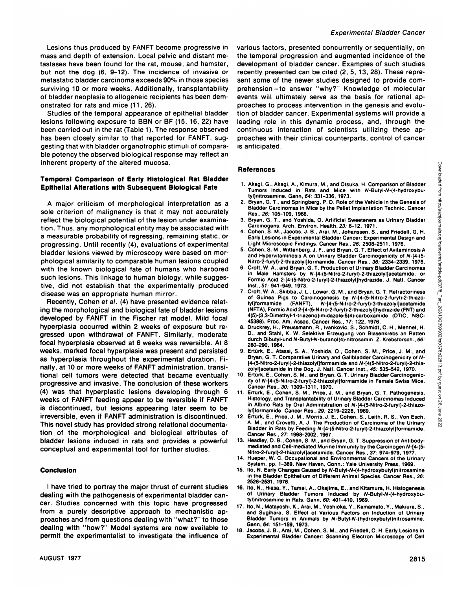Lesions thus produced by FANET become progressive in mass and depth of extension. Local pelvic and distant me tastases have been found for the rat, mouse, and hamster, but not the dog (6, 9-12). The incidence of invasive on metastatic bladder carcinoma exceeds 90% in those species surviving 10 or more weeks. Additionally, transplantability of bladder neoplasia to allogeneic recipients has been dem onstrated for rats and mice (11, 26).

Studies of the temporal appearance of epithelial bladder lesions following exposure to BBN on BF (15, 16, 22) have been carried out in the rat (Table 1). The response observed has been closely similar to that reported for FANFT, suggesting that with bladder organotrophic stimuli of comparable potency the observed biological response may reflect an inherent property of the altered mucosa.

## **Temporal Comparison of Early Histological Rat Bladder Epithelial Alterations with Subsequent Biological Fate**

A major criticism of morphological interpretation as a sole criterion of malignancy is that it may not accurately reflect the biological potential of the lesion under examination. Thus, any morphological entity may be associated with a measurable probability of regressing, remaining static, on progressing. Until recently (4), evaluations of experimental bladder lesions viewed by microscopy were based on morphological similarity to comparable human lesions coupled with the known biological fate of humans who harbored such lesions. This linkage to human biology, while sugges tive, did not establish that the experimentally produced disease was an appropriate human mirror.

Recently, Cohen et al. (4) have presented evidence relat ing the morphological and biological fate of bladder lesions developed by FANFT in the Fischer rat model. Mild focal hyperplasia occurred within 2 weeks of exposure but re-<br>8. gressed upon withdrawal of FANFT. Similarly, moderate focal hyperplasia observed at 6 weeks was reversible. At 8 weeks, marked focal hyperplasia was present and persisted as hyperplasia throughout the experimental duration. Fi nally, at 10 or more weeks of FANFT administration, transi tional cell tumors were detected that became eventually progressive and invasive. The conclusion of these workers (4) was that hyperplastic lesions developing through 6 weeks of FANFT feeding appear to be reversible if FANFT is discontinued, but lesions appearing later seem to be irreversible, even if FANFT administration is discontinued. This novel study has provided strong relational documenta-<br>
Bladfas in Res by Faction N.14 (Felling Of the University of the University of the University of the University tion of the morphological and biological attributes of bladder lesions induced in rats and provides a powerful conceptual and experimental tool for further studies.

## **Conclusion**

I have tried to portray the major thrust of current studies dealing with the pathogenesis of experimental bladder can- of Urinary Bladder Tumors Induced by N-Butyl-N-(4-hydroxybucer. Studies concerned with this topic have progressed from a purely descriptive approach to mechanistic ap- and Sugihara, S. Effect of Various Factors on Induction of Urinary proaches and from questions dealing with "what?" to those Bladder Tumors in Animal proaches and from questions dealing with "what?" to those Bladder Tumors in Animal dealing with "bow?" Medal exchange are now excluded to t dealing with "how?" Model systems are now available to permit the experimentalist to investigate the influence of

various factors, presented concurrently on sequentially, on the temporal progression and augmented incidence of the development of bladder cancer. Examples of such studies recently presented can be cited (2, 5, 13, 28). These represent some of the newer studies designed to provide comprehension—to answer "why?" Knowledge of molecular events will ultimately serve as the basis for rational ap proaches to process intervention in the genesis and evolu tion of bladder cancer. Experimental systems will provide a leading role in this dynamic process, and, through the continuous interaction of scientists utilizing these ap proaches with their clinical counterparts, control of cancer is anticipated.

#### **References**

- Tumors Induced in Rats and Mice with N-Butyl-N-(4-hydroxybu tyl)nitrosamine. Gann,64:331-336,1973.
- 2. Bryan, G. T., and Springberg, P. D. Role of the Vehicle in the Genesis of Bladder Carcinomas in Mice by the Pellet Implantation Technic. Cancer Res.,26: 105-109,1966.
- 3. Bryan, G. T. , and Yoshida, 0. Artificial Sweeteners as Urinary Bladder Carcinogens. Arch. Environ. Health, 23: 6-12, 1971.
- Cohen, S. M., Jacobs, J. B., Arai, M., Johanssen, S., and Friedell, G. H. Early Lesions in Experimental Bladder Cancer: Experimental Design and Light Microscopic Findings. Cancer Res., 26: 2508-2511, 1976.
- 5. Cohen, S. M., Wittenberg, J. F., and Bryan, G. T. Effect of Avitaminosis A and Hypervitaminosis A on Urinary Bladder Carcinogenicity of N-[4-(5- Nitro-2-furyl)-2-thiazolyl)formamide. Cancer Res., 36: 2334-2339, 1976.
- 6. Croft, W. A., and Bryan, G. T. Production of Urinary Bladder Carcinomas in Male Hamsters by N-[4-(5-Nitro-2-furyl)-2-thiazolyljacetamide, or Formic Acid 2-[4-(5-Nitro-2-furyl)-2-thiazolyl]hydrazide. J. Natl. Cancer Inst., 51: 941-949, 1973.
- 1. Akagi, G., Akagi, A., Kimura, M., and Otsuka, H. Comparison of Bladder<br>
1. Akagi, G., Akagi, A., Kimura, M., and Miss with N-Butyl-N-(4-hydroxybu-<br>
1. Vipintrosamine Gann, 64: 331-336, 1973<br>
2. Bryan, G. T., and Springb 7. Croft, W. A., Skibba, J. L., Lower, G. M., and Bryan, G. T. Refractoriness of Guinea Pigs to Carcinogenesis by N-[4-(5-Nltro-2-furyl)-2-thiazo lyI]formamide (FANFT), N-[4-(5-Nitro-2-furyl)-3-thiazolyljacetamide (NFTA), Formic Acid 2-[4-(5-Nitro-2-furyl)-2-thiazolyl]hydrazide (FNT) and 4(5)-(3,3-Dimethyl-1-triazeno)imidazole-5(4)-carboxamide (DTIC, NSC 45388). Proc. Am. Assoc. Cancer Res., 17: 122, 1976.
- Druckrey, H., Preussmann, R., Ivankovic, S., Schmidt, C. H., Mennel, H. D., and Stahl, K. W. Selektive Erzeugung von Blasenkrebs an Ratten durch Dibutyl-und N-Butyl-N-butanol(4)-nitrosamin. Z. Krebsforsch. , 66: 280-290,1964.
- 9. Ertürk, E., Atassi, S. A., Yoshida, O., Cohen, S. M., Price, J. M., and Bryan, G. T. Comparative Urinary and Gallbladder Carcinogenicity of N- [4-(5-Nitro-2-furyl)-2-thiazolyljformamide and N-[4(5-Nitro-2-furyl)-2-thia zolyljacetamide in the Dog. J. Natl. Cancer Inst., 45: 535-542, 1970.
- 10. Ertürk, E., Cohen, S. M., and Bryan, G. T. Urinary Bladder Carcinogenicity of N-[4-(5-Nitro-2-furyl)-2-thiazolyl]formamide in Female Swiss Mice. Cancer Res., 30: 1309-1311, 1970.
- 11. Ertürk, E., Cohen, S. M., Price, J. M., and Bryan, G. T. Pathogenesis, Histology, and Transplantability of Urinary Bladder Carcinomas Induced in Albino Rats by Oral Administration of N-[4-(5-Nitro-2-furyl)-2-thiazo lyljformamide. Cancer Res., 29: 2219-2228, 1969.
- 12. Ertürk, E., Price, J. M., Morris, J. E., Cohen, S., Leith, R. S., Von Esch,  $\overline{S}_{\text{A}}$ , M., and Crovetti, A. J. The Production of Carcinoma of the Urinary  $\overline{S}_{\text{A}}$ Bladder in Rats by Feeding N-[4-(5-Nitro-2-furyl)-2-thiazolyl]formamide.<br>Cancer Res., 27: 1998-2002, 1967.
- 13. Headley, D. B., Cohen, S. M., and Bryan, G. T. Suppression of Antibodymediated and Cell-mediated Murine Immunity by the Carcinogen N-[4-(5-Nitro-2-furyl)-2-thiazolyl]acetamide. Cancer Res., 37: 974-979, 1977
- 14. Hueper, W. C. Occupational and Environmental Cancers of the Urinary System, pp. 1-369. New Haven, Conn.: Yale University Press, 1969.
- 15. Ito, N. Early Changes Caused by N-Butyl-N-(4-hydroxybutyl)nitrosamine in the Bladder Epithelium of Different Animal Species. Cancer Res., 36: 2528-2531 , 1976.
- 16. Ito, N., Hiasa, Y., Tamai, A., Okajima, E., and Kitamura, H. Histogenesis tyl)nitrosamine in Rats. Gann, 60: 401-410, 1969.
- 17. Ito,N.,Matayoshi,K.,Arai,M.,Yoshioka,Y.,Kamamato,Y., Makiura,5., Bladder Tumors in Animals by N-Butyl-N-(hydroxybutyl)nitrosamine.
- 18. Jacobs, J. B., Arai, M., Cohen, S. M., and Friedell, C. H. Early Lesions in Experimental Bladder Cancer: Scanning Electron Microscopy of Cell